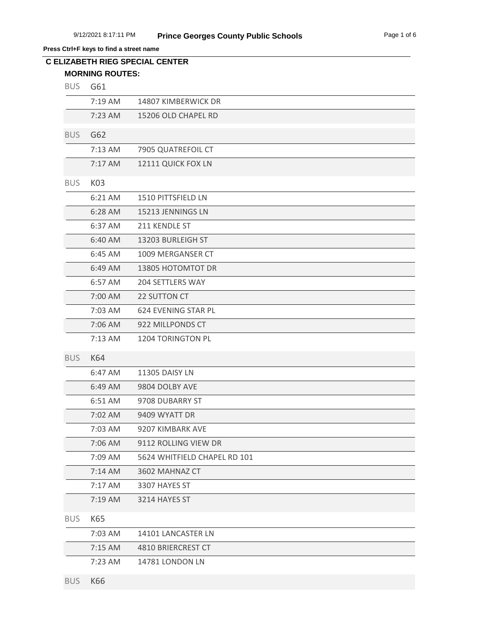**Press Ctrl+F keys to find a street name**

| <b>BUS</b> | G61       |                              |
|------------|-----------|------------------------------|
|            | 7:19 AM   | 14807 KIMBERWICK DR          |
|            | $7:23$ AM | 15206 OLD CHAPEL RD          |
| <b>BUS</b> | G62       |                              |
|            | 7:13 AM   | 7905 QUATREFOIL CT           |
|            | 7:17 AM   | 12111 QUICK FOX LN           |
| <b>BUS</b> | K03       |                              |
|            | 6:21 AM   | 1510 PITTSFIELD LN           |
|            | 6:28 AM   | 15213 JENNINGS LN            |
|            | 6:37 AM   | 211 KENDLE ST                |
|            | 6:40 AM   | 13203 BURLEIGH ST            |
|            | 6:45 AM   | 1009 MERGANSER CT            |
|            | 6:49 AM   | 13805 HOTOMTOT DR            |
|            | 6:57 AM   | 204 SETTLERS WAY             |
|            | 7:00 AM   | 22 SUTTON CT                 |
|            | 7:03 AM   | 624 EVENING STAR PL          |
|            | 7:06 AM   | 922 MILLPONDS CT             |
|            | 7:13 AM   | 1204 TORINGTON PL            |
| <b>BUS</b> | K64       |                              |
|            | 6:47 AM   | 11305 DAISY LN               |
|            | 6:49 AM   | 9804 DOLBY AVE               |
|            | 6:51 AM   | 9708 DUBARRY ST              |
|            | 7:02 AM   | 9409 WYATT DR                |
|            | 7:03 AM   | 9207 KIMBARK AVE             |
|            | 7:06 AM   | 9112 ROLLING VIEW DR         |
|            | 7:09 AM   | 5624 WHITFIELD CHAPEL RD 101 |
|            | $7:14$ AM | 3602 MAHNAZ CT               |
|            | 7:17 AM   | 3307 HAYES ST                |
|            | 7:19 AM   | 3214 HAYES ST                |
| <b>BUS</b> | K65       |                              |
|            | 7:03 AM   | 14101 LANCASTER LN           |
|            | 7:15 AM   | 4810 BRIERCREST CT           |
|            | 7:23 AM   | 14781 LONDON LN              |
| <b>BUS</b> | K66       |                              |
|            |           |                              |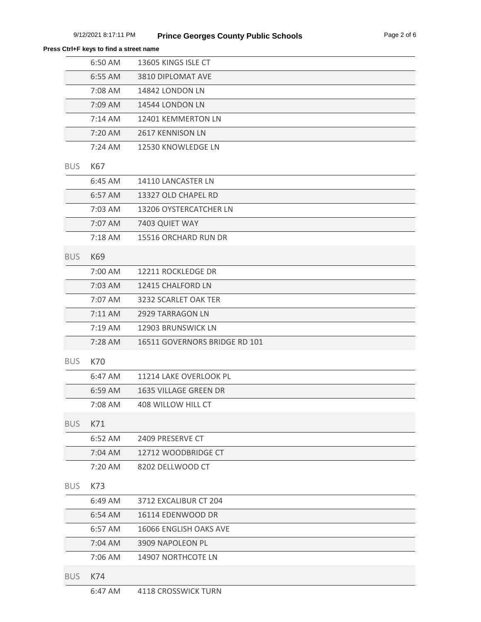|            | 6:50 AM | 13605 KINGS ISLE CT           |
|------------|---------|-------------------------------|
|            | 6:55 AM | 3810 DIPLOMAT AVE             |
|            | 7:08 AM | 14842 LONDON LN               |
|            | 7:09 AM | 14544 LONDON LN               |
|            | 7:14 AM | 12401 KEMMERTON LN            |
|            | 7:20 AM | 2617 KENNISON LN              |
|            | 7:24 AM | 12530 KNOWLEDGE LN            |
| <b>BUS</b> | K67     |                               |
|            | 6:45 AM | 14110 LANCASTER LN            |
|            | 6:57 AM | 13327 OLD CHAPEL RD           |
|            | 7:03 AM | 13206 OYSTERCATCHER LN        |
|            | 7:07 AM | 7403 QUIET WAY                |
|            | 7:18 AM | 15516 ORCHARD RUN DR          |
| <b>BUS</b> | K69     |                               |
|            | 7:00 AM | 12211 ROCKLEDGE DR            |
|            | 7:03 AM | 12415 CHALFORD LN             |
|            | 7:07 AM | 3232 SCARLET OAK TER          |
|            | 7:11 AM | 2929 TARRAGON LN              |
|            | 7:19 AM | 12903 BRUNSWICK LN            |
|            | 7:28 AM | 16511 GOVERNORS BRIDGE RD 101 |
| <b>BUS</b> | K70     |                               |
|            | 6:47 AM | 11214 LAKE OVERLOOK PL        |
|            | 6:59 AM | <b>1635 VILLAGE GREEN DR</b>  |
|            | 7:08 AM | 408 WILLOW HILL CT            |
| <b>BUS</b> | K71     |                               |
|            | 6:52 AM | 2409 PRESERVE CT              |
|            | 7:04 AM | 12712 WOODBRIDGE CT           |
|            | 7:20 AM | 8202 DELLWOOD CT              |
| <b>BUS</b> | K73     |                               |
|            | 6:49 AM | 3712 EXCALIBUR CT 204         |
|            | 6:54 AM | 16114 EDENWOOD DR             |
|            | 6:57 AM | 16066 ENGLISH OAKS AVE        |
|            | 7:04 AM | 3909 NAPOLEON PL              |
|            | 7:06 AM | 14907 NORTHCOTE LN            |
| <b>BUS</b> | K74     |                               |
|            | 6:47 AM | 4118 CROSSWICK TURN           |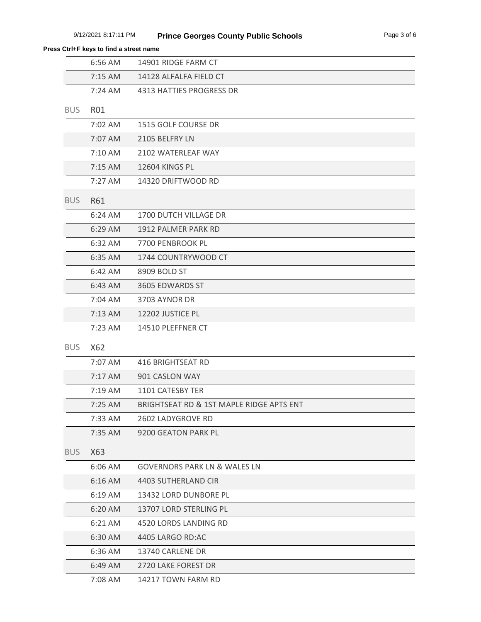## **Press Ctrl+F keys to find a street name**

|            | 6:56 AM    | 14901 RIDGE FARM CT                      |
|------------|------------|------------------------------------------|
|            | 7:15 AM    | 14128 ALFALFA FIELD CT                   |
|            | $7:24$ AM  | 4313 HATTIES PROGRESS DR                 |
| <b>BUS</b> | <b>RO1</b> |                                          |
|            | 7:02 AM    | 1515 GOLF COURSE DR                      |
|            | 7:07 AM    | 2105 BELFRY LN                           |
|            | 7:10 AM    | 2102 WATERLEAF WAY                       |
|            | 7:15 AM    | 12604 KINGS PL                           |
|            | 7:27 AM    | 14320 DRIFTWOOD RD                       |
| <b>BUS</b> | <b>R61</b> |                                          |
|            | 6:24 AM    | 1700 DUTCH VILLAGE DR                    |
|            | 6:29 AM    | 1912 PALMER PARK RD                      |
|            | 6:32 AM    | 7700 PENBROOK PL                         |
|            | 6:35 AM    | 1744 COUNTRYWOOD CT                      |
|            | 6:42 AM    | 8909 BOLD ST                             |
|            | 6:43 AM    | 3605 EDWARDS ST                          |
|            | 7:04 AM    | 3703 AYNOR DR                            |
|            | 7:13 AM    | 12202 JUSTICE PL                         |
|            | 7:23 AM    | 14510 PLEFFNER CT                        |
| <b>BUS</b> | X62        |                                          |
|            | 7:07 AM    | <b>416 BRIGHTSEAT RD</b>                 |
|            | 7:17 AM    | 901 CASLON WAY                           |
|            | 7:19 AM    | 1101 CATESBY TER                         |
|            | 7:25 AM    | BRIGHTSEAT RD & 1ST MAPLE RIDGE APTS ENT |
|            | 7:33 AM    | 2602 LADYGROVE RD                        |
|            | 7:35 AM    | 9200 GEATON PARK PL                      |
| <b>BUS</b> | X63        |                                          |
|            | 6:06 AM    | <b>GOVERNORS PARK LN &amp; WALES LN</b>  |
|            | 6:16 AM    | 4403 SUTHERLAND CIR                      |
|            | 6:19 AM    | 13432 LORD DUNBORE PL                    |
|            | 6:20 AM    | 13707 LORD STERLING PL                   |
|            | 6:21 AM    | 4520 LORDS LANDING RD                    |
|            | 6:30 AM    | 4405 LARGO RD:AC                         |
|            | 6:36 AM    | 13740 CARLENE DR                         |
|            | 6:49 AM    | 2720 LAKE FOREST DR                      |
|            | 7:08 AM    | 14217 TOWN FARM RD                       |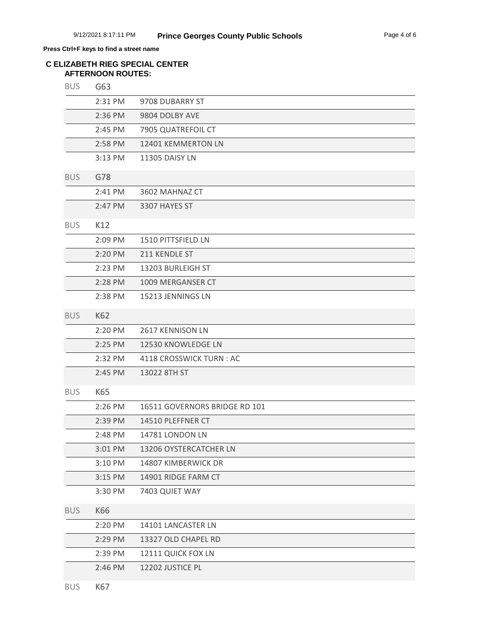## **Press Ctrl+F keys to find a street name**

## **AFTERNOON ROUTES: C ELIZABETH RIEG SPECIAL CENTER**

| <b>BUS</b> | G63     |                               |
|------------|---------|-------------------------------|
|            | 2:31 PM | 9708 DUBARRY ST               |
|            | 2:36 PM | 9804 DOLBY AVE                |
|            | 2:45 PM | 7905 QUATREFOIL CT            |
|            | 2:58 PM | 12401 KEMMERTON LN            |
|            | 3:13 PM | 11305 DAISY LN                |
| <b>BUS</b> | G78     |                               |
|            | 2:41 PM | 3602 MAHNAZ CT                |
|            | 2:47 PM | 3307 HAYES ST                 |
| <b>BUS</b> | K12     |                               |
|            | 2:09 PM | 1510 PITTSFIELD LN            |
|            | 2:20 PM | 211 KENDLE ST                 |
|            | 2:23 PM | 13203 BURLEIGH ST             |
|            | 2:28 PM | 1009 MERGANSER CT             |
|            | 2:38 PM | 15213 JENNINGS LN             |
| <b>BUS</b> | K62     |                               |
|            | 2:20 PM | 2617 KENNISON LN              |
|            | 2:25 PM | 12530 KNOWLEDGE LN            |
|            | 2:32 PM | 4118 CROSSWICK TURN: AC       |
|            | 2:45 PM | 13022 8TH ST                  |
| <b>BUS</b> | K65     |                               |
|            | 2:26 PM | 16511 GOVERNORS BRIDGE RD 101 |
|            | 2:39 PM | 14510 PLEFFNER CT             |
|            | 2:48 PM | 14781 LONDON LN               |
|            | 3:01 PM | 13206 OYSTERCATCHER LN        |
|            | 3:10 PM | 14807 KIMBERWICK DR           |
|            | 3:15 PM | 14901 RIDGE FARM CT           |
|            | 3:30 PM | 7403 QUIET WAY                |
| <b>BUS</b> | K66     |                               |
|            | 2:20 PM | 14101 LANCASTER LN            |
|            | 2:29 PM | 13327 OLD CHAPEL RD           |
|            | 2:39 PM | 12111 QUICK FOX LN            |
|            | 2:46 PM | 12202 JUSTICE PL              |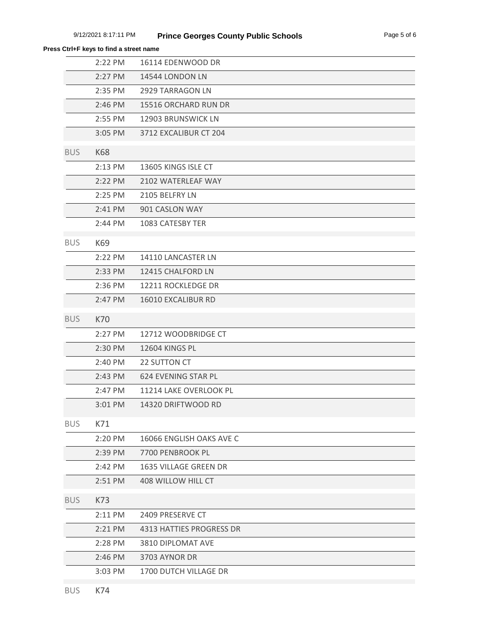|            | 2:22 PM             | 16114 EDENWOOD DR            |
|------------|---------------------|------------------------------|
|            | 2:27 PM             | 14544 LONDON LN              |
|            | 2:35 PM             | <b>2929 TARRAGON LN</b>      |
|            | 2:46 PM             | 15516 ORCHARD RUN DR         |
|            | 2:55 PM             | 12903 BRUNSWICK LN           |
|            | 3:05 PM             | 3712 EXCALIBUR CT 204        |
| <b>BUS</b> | <b>K68</b>          |                              |
|            | 2:13 PM             | 13605 KINGS ISLE CT          |
|            | 2:22 PM             | 2102 WATERLEAF WAY           |
|            | 2:25 PM             | 2105 BELFRY LN               |
|            | 2:41 PM             | 901 CASLON WAY               |
|            | 2:44 PM             | 1083 CATESBY TER             |
| <b>BUS</b> | K69                 |                              |
|            | 2:22 PM             | 14110 LANCASTER LN           |
|            | 2:33 PM             | 12415 CHALFORD LN            |
|            | 2:36 PM             | 12211 ROCKLEDGE DR           |
|            | 2:47 PM             | 16010 EXCALIBUR RD           |
| <b>BUS</b> | K70                 |                              |
|            | 2:27 PM             | 12712 WOODBRIDGE CT          |
|            | 2:30 PM             | 12604 KINGS PL               |
|            | 2:40 PM             | 22 SUTTON CT                 |
|            | 2:43 PM             | 624 EVENING STAR PL          |
|            | 2:47 PM             | 11214 LAKE OVERLOOK PL       |
|            | $3:01$ PM           | 14320 DRIFTWOOD RD           |
| <b>BUS</b> | K71                 |                              |
|            | 2:20 PM             | 16066 ENGLISH OAKS AVE C     |
|            | 2:39 PM             | 7700 PENBROOK PL             |
|            | $2:42 \, \text{PM}$ | <b>1635 VILLAGE GREEN DR</b> |
|            | 2:51 PM             | 408 WILLOW HILL CT           |
| <b>BUS</b> | K73                 |                              |
|            | 2:11 PM             | 2409 PRESERVE CT             |
|            | 2:21 PM             | 4313 HATTIES PROGRESS DR     |
|            | 2:28 PM             | 3810 DIPLOMAT AVE            |
|            | 2:46 PM             | 3703 AYNOR DR                |
|            | 3:03 PM             | 1700 DUTCH VILLAGE DR        |